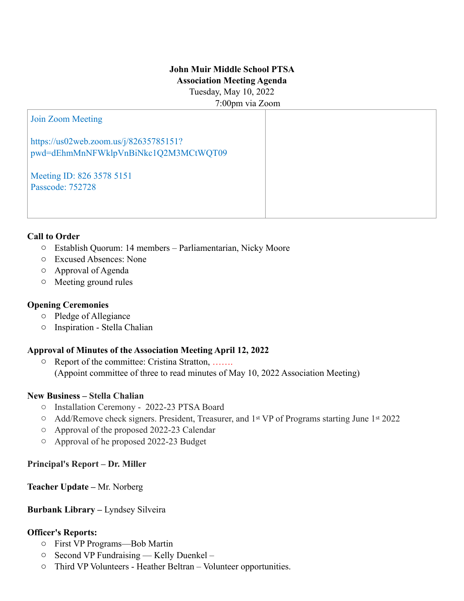# **John Muir Middle School PTSA Association Meeting Agenda**

Tuesday, May 10, 2022 7:00pm via Zoom

#### Join Zoom Meeting

https://us02web.zoom.us/j/82635785151? pwd=dEhmMnNFWklpVnBiNkc1Q2M3MCtWQT09

Meeting ID: 826 3578 5151 Passcode: 752728

#### **Call to Order**

- o Establish Quorum: 14 members Parliamentarian, Nicky Moore
- o Excused Absences: None
- o Approval of Agenda
- o Meeting ground rules

### **Opening Ceremonies**

- o Pledge of Allegiance
- o Inspiration Stella Chalian

### **Approval of Minutes of the Association Meeting April 12, 2022**

o Report of the committee: Cristina Stratton, ……. (Appoint committee of three to read minutes of May 10, 2022 Association Meeting)

### **New Business – Stella Chalian**

- o Installation Ceremony 2022-23 PTSA Board
- o Add/Remove check signers. President, Treasurer, and 1st VP of Programs starting June 1st 2022
- o Approval of the proposed 2022-23 Calendar
- o Approval of he proposed 2022-23 Budget

**Principal's Report – Dr. Miller** 

**Teacher Update –** Mr. Norberg

### **Burbank Library – Lyndsey Silveira**

### **Officer's Reports:**

- o First VP Programs—Bob Martin
- o Second VP Fundraising Kelly Duenkel –
- o Third VP Volunteers Heather Beltran Volunteer opportunities.